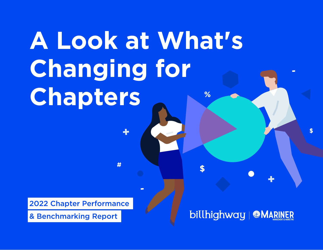# **A Look at What's Changing for Chapters**  $%$

#

2022 Chapter Performance

& Benchmarking Report

# billhighway | @MARINER

 $\mathbf{S}$ 

 $\boldsymbol{\mathsf{s}}$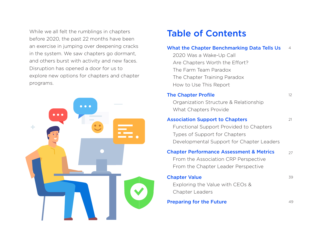While we all felt the rumblings in chapters **Table of Contents** before 2020, the past 22 months have been an exercise in jumping over deepening cracks in the system. We saw chapters go dormant, and others burst with activity and new faces. Disruption has opened a door for us to explore new options for chapters and chapter programs.



#### [What the Chapter Benchmarking Data Tells Us](#page-3-0) [4](#page-3-0)

 2020 Was a Wake-Up Call Are Chapters Worth the Effort? The Farm Team Paradox The Chapter Training Paradox How to Use This Report

### Organization Structure & Relationship What Chapters Provide Functional Support Provided to Chapters Types of Support for Chapters Developmental Support for Chapter Leaders [The Chapter Profile](#page-11-0) [Association Support to Chapters](#page-20-0)

[12](#page-11-0)

[21](#page-20-0)

#### From the Association CRP Perspective [Chapter Performance Assessment & Metrics](#page-26-0) [27](#page-26-0)

From the Chapter Leader Perspective

| <b>Chapter Value</b>            | 39  |
|---------------------------------|-----|
| Exploring the Value with CEOs & |     |
| Chapter Leaders                 |     |
| <b>Preparing for the Future</b> | 49. |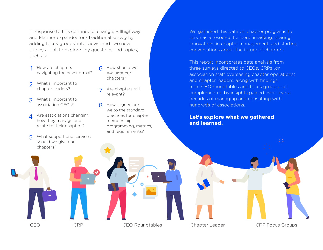In response to this continuous change, Billhighway and Mariner expanded our traditional survey by adding focus groups, interviews, and two new surveys — all to explore key questions and topics, such as:

- 1 How are chapters navigating the new normal?
- $\mathcal{P}$ What's important to chapter leaders?
- 3 What's important to association CEOs?
- $\Delta$ Are associations changing how they manage and relate to their chapters?
- 5 What support and services should we give our chapters?
- 6 How should we evaluate our chapters?
- 7 Are chapters still relevant?
- 8 How aligned are we to the standard practices for chapter membership, programming, metrics, and requirements?

We gathered this data on chapter programs to serve as a resource for benchmarking, sharing innovations in chapter management, and starting conversations about the future of chapters.

This report incorporates data analysis from three surveys directed to CEOs, CRPs (or association staff overseeing chapter operations), and chapter leaders, along with findings from CEO roundtables and focus groups—all complemented by insights gained over several decades of managing and consulting with hundreds of associations.

### **Let's explore what we gathered and learned.**

CEO CRP CEO Roundtables Chapter Leader CRP Focus Groups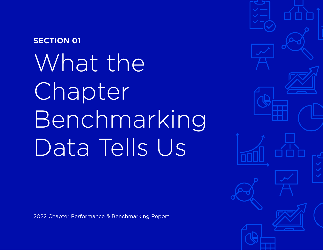# <span id="page-3-0"></span>What the **Chapter** Benchmarking Data Tells Us **SECTION 01**

2022 Chapter Performance & Benchmarking Report

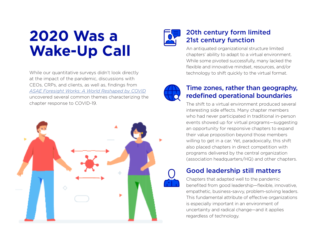# **2020 Was a Wake-Up Call**

While our quantitative surveys didn't look directly at the impact of the pandemic, discussions with CEOs, CRPs, and clients, as well as, findings from *[ASAE Foresight Works: A World Reshaped by COVID](https://www.asaecenter.org/publications/109687-asae-foresightworks-action-briefs-complete-collection-and-users-guide-pdf)* uncovered several common themes characterizing the chapter response to COVID-19.





### 20th century form limited 21st century function

An antiquated organizational structure limited chapters' ability to adapt to a virtual environment. While some pivoted successfully, many lacked the flexible and innovative mindset, resources, and/or technology to shift quickly to the virtual format.



### Time zones, rather than geography, redefined operational boundaries

The shift to a virtual environment produced several interesting side effects. Many chapter members who had never participated in traditional in-person events showed up for virtual programs—suggesting an opportunity for responsive chapters to expand their value proposition beyond those members willing to get in a car. Yet, paradoxically, this shift also placed chapters in direct competition with programs delivered by the central organization (association headquarters/HQ) and other chapters.

### Good leadership still matters

Chapters that adapted well to the pandemic benefited from good leadership—flexible, innovative, empathetic, business-savvy, problem-solving leaders. This fundamental attribute of effective organizations is especially important in an environment of uncertainty and radical change—and it applies regardless of technology.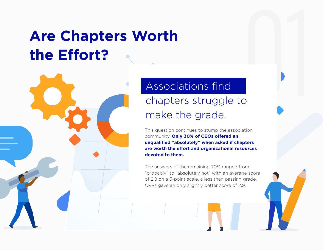# **Are Chapters Worth the Effort?**

# Associations find chapters struggle to make the grade.

This question continues to stump the association community. **Only 30% of CEOs offered an unqualified "absolutely" when asked if chapters are worth the effort and organizational resources devoted to them.** 

01

The answers of the remaining 70% ranged from "probably" to "absolutely not" with an average score of 2.8 on a 5-point scale, a less than passing grade. CRPs gave an only slightly better score of 2.9.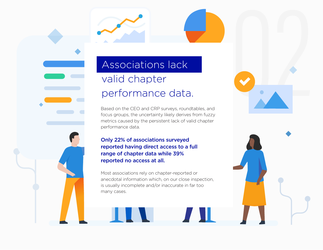# Associations lack valid chapter performance data.

Based on the CEO and CRP surveys, roundtables, and focus groups, the uncertainty likely derives from fuzzy metrics caused by the persistent lack of valid chapter performance data.

02

### Only 22% of associations surveyed reported having direct access to a full range of chapter data while 39% reported no access at all.

Most associations rely on chapter-reported or anecdotal information which, on our close inspection, is usually incomplete and/or inaccurate in far too many cases.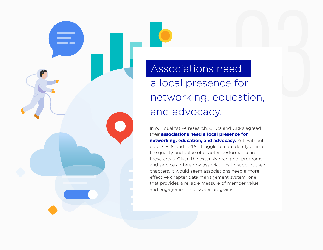ad<br>
ad<br>
for<br>
cation,<br>
cation, Associations need a local presence for networking, education, and advocacy.

In our qualitative research, CEOs and CRPs agreed their **associations need a local presence for networking, education, and advocacy.** Yet, without data, CEOs and CRPs struggle to confidently affirm the quality and value of chapter performance in these areas. Given the extensive range of programs and services offered by associations to support their chapters, it would seem associations need a more effective chapter data management system, one that provides a reliable measure of member value and engagement in chapter programs.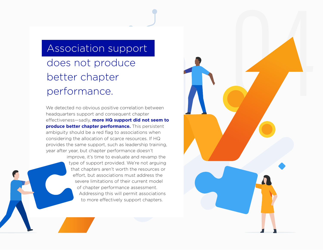# Association support does not produce

04

# better chapter performance.

We detected no obvious positive correlation between headquarters support and consequent chapter effectiveness—sadly, **more HQ support did not seem to produce better chapter performance.** This persistent ambiguity should be a red flag to associations when considering the allocation of scarce resources. If HQ provides the same support, such as leadership training, year after year, but chapter performance doesn't

> improve, it's time to evaluate and revamp the type of support provided. We're not arguing that chapters aren't worth the resources or effort, but associations must address the severe limitations of their current model of chapter performance assessment. Addressing this will permit associations to more effectively support chapters.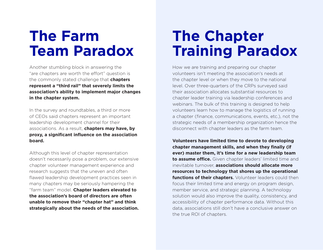# **The Farm Team Paradox**

Another stumbling block in answering the "are chapters are worth the effort" question is the commonly stated challenge that **chapters represent a "third rail" that severely limits the association's ability to implement major changes in the chapter system.** 

In the survey and roundtables, a third or more of CEOs said chapters represent an important leadership development channel for their associations. As a result, **chapters may have, by proxy, a significant influence on the association board.** 

Although this level of chapter representation doesn't necessarily pose a problem, our extensive chapter volunteer management experience and research suggests that the uneven and often flawed leadership development practices seen in many chapters may be seriously hampering the "farm team" model. **Chapter leaders elevated to the association's board of directors are often unable to remove their "chapter hat" and think strategically about the needs of the association.**

# **The Chapter Training Paradox**

How we are training and preparing our chapter volunteers isn't meeting the association's needs at the chapter level or when they move to the national level. Over three-quarters of the CRPs surveyed said their association allocates substantial resources to chapter leader training via leadership conferences and webinars. The bulk of this training is designed to help volunteers learn how to manage the logistics of running a chapter (finance, communications, events, etc.), not the strategic needs of a membership organization hence the disconnect with chapter leaders as the farm team.

**Volunteers have limited time to devote to developing chapter management skills, and when they finally (if ever) master them, it's time for a new leadership team to assume office.** Given chapter leaders' limited time and inevitable turnover, **associations should allocate more resources to technology that shores up the operational functions of their chapters**. Volunteer leaders could then focus their limited time and energy on program design, member service, and strategic planning. A technology solution would also improve the quality, consistency, and accessibility of chapter performance data. Without this data, associations still don't have a conclusive answer on the true ROI of chapters.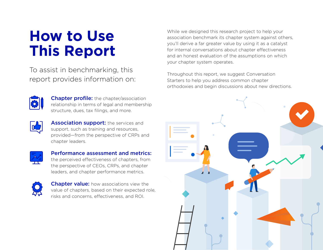# **How to Use This Report**

To assist in benchmarking, this report provides information on:



**Chapter profile:** the chapter/association [relationship in terms of legal and membership](#page-11-0)  structure, dues, tax filings, and more.



Association support: the services and support, such as training and resources, [provided—from the perspective of CRPs and](#page-20-0)  chapter leaders.



[Performance assessment and metrics:](#page-26-0)  the perceived effectiveness of chapters, from the perspective of CEOs, CRPs, and chapter leaders, and chapter performance metrics.



**Chapter value:** how associations view the [value of chapters, based on their expected role,](#page-38-0)  risks and concerns, effectiveness, and ROI.

While we designed this research project to help your association benchmark its chapter system against others, you'll derive a far greater value by using it as a catalyst for internal conversations about chapter effectiveness and an honest evaluation of the assumptions on which your chapter system operates.

Throughout this report, we suggest Conversation Starters to help you address common chapter orthodoxies and begin discussions about new directions.

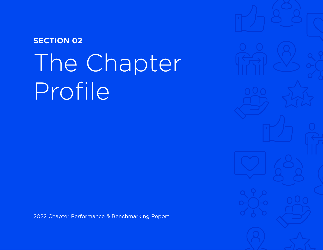# <span id="page-11-0"></span>The Chapter Profile **SECTION 02**

2022 Chapter Performance & Benchmarking Report

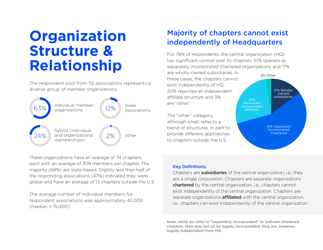# **Organization Structure & Relationship**

The respondent pool from 112 associations represents a diverse group of member organizations:



These organizations have an average of 74 chapters, each with an average of 308 members per chapter. The majority (68%) are state-based. Slightly less than half of the responding associations (47%) indicated they were global and have an average of 13 chapters outside the U.S.

The average number of individual members for respondent associations was approximately 42,000 (median = 15,000).

### Majority of chapters cannot exist independently of Headquarters

For 78% of respondents, the central organization (HQ) has significant control over its chapters: 61% operate as separately incorporated chartered organizations and 17%

are wholly-owned subsidiaries. In these cases, the chapters cannot exist independently of HQ. 20% reported an independent affiliate structure and 3% are "other."

The "other" category, although small, reflects a blend of structures, in part to provide different approaches to chapters outside the U.S.



#### Key Definitions:

Chapters are **subsidiaries** of the central organization, i.e., they are a single corporation. Chapters are separate organizations chartered by the central organization, i.e., chapters cannot exist independently of the central organization. Chapters are separate organizations **affiliated** with the central organization, i.e., chapters can exist independently of the central organization.

**Note: while we refer to "separately incorporated" to indicate chartered chapters, they may not all be legally incorporated; they are, however, legally independent from HQ.**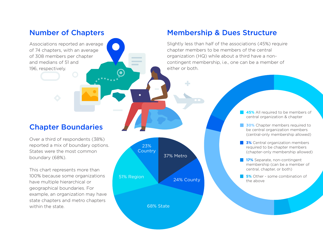### Number of Chapters

Associations reported an average of 74 chapters, with an average of 308 members per chapter and medians of 51 and 196, respectively.

### Membership & Dues Structure

Slightly less than half of the associations (45%) require chapter members to be members of the central organization (HQ) while about a third have a noncontingent membership, i.e., one can be a member of either or both.

### Chapter Boundaries

Over a third of respondents (38%) reported a mix of boundary options. States were the most common boundary (68%).

This chart represents more than 100% because some organizations have multiple hierarchical or geographical boundaries. For example, an organization may have state chapters and metro chapters within the state.



- **45%** All required to be members of central organization & chapter
- **30%** Chapter members required to be central organization members (central-only membership allowed)
- **3%** Central organization members required to be chapter members (chapter-only membership allowed)
- **17%** Separate, non-contingent membership (can be a member of central, chapter, or both)
- **5%** Other some combination of the above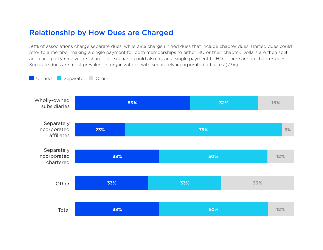### Relationship by How Dues are Charged

50% of associations charge separate dues, while 38% charge unified dues that include chapter dues. Unified dues could refer to a member making a single payment for both memberships to either HQ or their chapter. Dollars are then split, and each party receives its share. This scenario could also mean a single payment to HQ if there are no chapter dues. Separate dues are most prevalent in organizations with separately incorporated affiliates (73%).

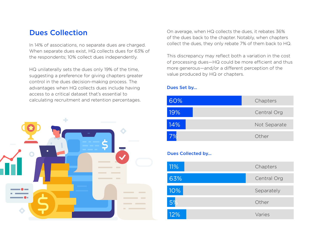### Dues Collection

In 14% of associations, no separate dues are charged. When separate dues exist, HQ collects dues for 63% of the respondents; 10% collect dues independently.

HQ unilaterally sets the dues only 19% of the time, suggesting a preference for giving chapters greater control in the dues decision-making process. The advantages when HQ collects dues include having access to a critical dataset that's essential to calculating recruitment and retention percentages.



On average, when HQ collects the dues, it rebates 36% of the dues back to the chapter. Notably, when chapters collect the dues, they only rebate 7% of them back to HQ.

This discrepancy may reflect both a variation in the cost of processing dues—HQ could be more efficient and thus more generous—and/or a different perception of the value produced by HQ or chapters.

### Dues Set by...



### Dues Collected by...

| 11% | Chapters    |
|-----|-------------|
| 63% | Central Org |
| 10% | Separately  |
| 5%  | Other       |
| 12% | Varies      |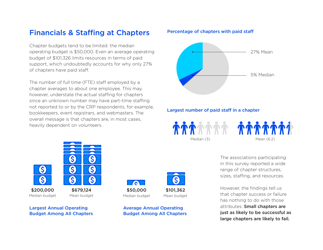### Financials & Staffing at Chapters

Chapter budgets tend to be limited: the median operating budget is \$50,000. Even an average operating budget of \$101,326 limits resources in terms of paid support, which undoubtedly accounts for why only 27% of chapters have paid staff.

The number of full time (FTE) staff employed by a chapter averages to about one employee. This may, however, understate the actual staffing for chapters since an unknown number may have part-time staffing not reported to or by the CRP respondents, for example, bookkeepers, event registrars, and webmasters. The overall message is that chapters are, in most cases, heavily dependent on volunteers.



\$200,000 Median budget

S

 $\mathcal{S}$ 

\$679,124 Mean budget

Largest Annual Operating Budget Among All Chapters



\$50,000 Median budget



Average Annual Operating Budget Among All Chapters

### Percentage of chapters with paid staff



### Largest number of paid staff in a chapter



The associations participating in this survey reported a wide range of chapter structures, sizes, staffing, and resources.

However, the findings tell us that chapter success or failure has nothing to do with those attributes. Small chapters are just as likely to be successful as large chapters are likely to fail.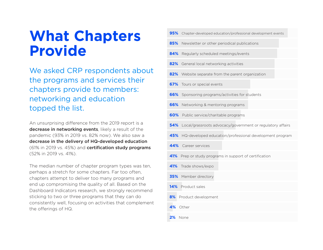# **What Chapters Provide**

We asked CRP respondents about the programs and services their chapters provide to members: networking and education topped the list.

An unsurprising difference from the 2019 report is a decrease in networking events, likely a result of the pandemic (93% in 2019 vs. 82% now). We also saw a decrease in the delivery of HQ-developed education (61% in 2019 vs. 45%) and certification study programs (52% in 2019 vs. 41%).

The median number of chapter program types was ten, perhaps a stretch for some chapters. Far too often, chapters attempt to deliver too many programs and end up compromising the quality of all. Based on the Dashboard Indicators research, we strongly recommend sticking to two or three programs that they can do consistently well, focusing on activities that complement the offerings of HQ.

| 95%<br>Chapter-developed education/professional development events |
|--------------------------------------------------------------------|
| 85%<br>Newsletter or other periodical publications                 |
| 84%<br>Regularly scheduled meetings/events                         |
| 82%<br>General local networking activities                         |
| 82%<br>Website separate from the parent organization               |
| 67%<br>Tours or special events                                     |
| 66%<br>Sponsoring programs/activities for students                 |
| 66%<br>Networking & mentoring programs                             |
| 60%<br>Public service/charitable programs                          |
| 54%<br>Local/grassroots advocacy/government or regulatory affairs  |
| 45%<br>HQ-developed education/professional development program     |
| 44%<br>Career services                                             |
| 41%<br>Prep or study programs in support of certification          |
| 41%<br>Trade shows/expo                                            |
| 35%<br>Member directory                                            |
| 14%<br>Product sales                                               |
| 8%<br>Product development                                          |
| 4%<br>Other                                                        |
| 2%<br>None                                                         |
|                                                                    |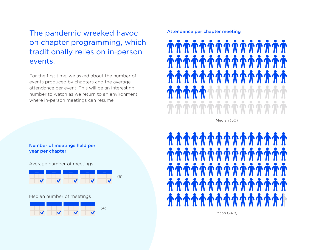The pandemic wreaked havoc on chapter programming, which traditionally relies on in-person events.

For the first time, we asked about the number of events produced by chapters and the average attendance per event. This will be an interesting number to watch as we return to an environment where in-person meetings can resume.

Number of meetings held per year per chapter

Average number of meetings



Median number of meetings



#### Attendance per chapter meeting



Median (50)



Mean (74.8)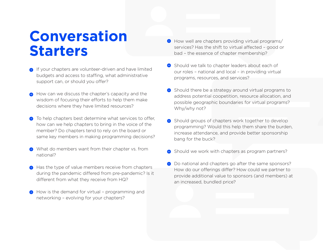# **Conversation Starters**

- **If your chapters are volunteer-driven and have limited** budgets and access to staffing, what administrative support can, or should you offer?
- How can we discuss the chapter's capacity and the wisdom of focusing their efforts to help them make decisions where they have limited resources?
- $\bigoplus$  To help chapters best determine what services to offer, how can we help chapters to bring in the voice of the member? Do chapters tend to rely on the board or same key members in making programming decisions?
- $\bigoplus$  What do members want from their chapter vs. from national?
- $\bigoplus$  Has the type of value members receive from chapters during the pandemic differed from pre-pandemic? Is it different from what they receive from HQ?
- $\bigoplus$  How is the demand for virtual programming and networking – evolving for your chapters?
- $\Theta$  How well are chapters providing virtual programs/ services? Has the shift to virtual affected – good or bad – the essence of chapter membership?
- Should we talk to chapter leaders about each of our roles – national and local – in providing virtual programs, resources, and services?
- $\bigoplus$  Should there be a strategy around virtual programs to address potential coopetition, resource allocation, and possible geographic boundaries for virtual programs? Why/why not?
- $\bigoplus$  Should groups of chapters work together to develop programming? Would this help them share the burden, increase attendance, and provide better sponsorship bang for the buck?
- $\bigoplus$  Should we work with chapters as program partners?
- $\bigoplus$  Do national and chapters go after the same sponsors? How do our offerings differ? How could we partner to provide additional value to sponsors (and members) at an increased, bundled price?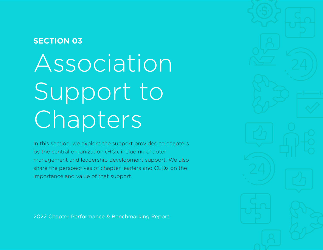## <span id="page-20-0"></span>**SECTION 03**

Association Support to Chapters

In this section, we explore the support provided to chapters by the central organization (HQ), including chapter management and leadership development support. We also share the perspectives of chapter leaders and CEOs on the importance and value of that support.

2022 Chapter Performance & Benchmarking Report

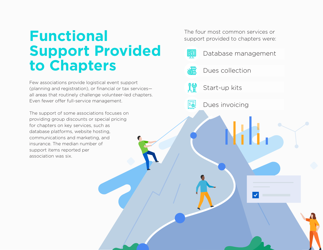# **Functional Support Provided to Chapters**

Few associations provide logistical event support (planning and registration), or financial or tax services all areas that routinely challenge volunteer-led chapters. Even fewer offer full-service management.

The support of some associations focuses on providing group discounts or special pricing for chapters on key services, such as database platforms, website hosting, communications and marketing, and insurance. The median number of support items reported per association was six.

The four most common services or support provided to chapters were:

Dues collection

Start-up kits

興

 $|\bar{\tilde{\mathsf{s}}}$ 

Dues invoicing

Database management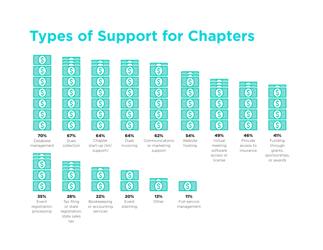# **Types of Support for Chapters**

 $\overline{\phantom{a}}$ 

S

 $\bigcirc$ 

S

 $\bigcirc$ 







Chapter start-up (kit/ support)



64% Dues invoicing



62% Communications or marketing

support







 $\mathcal{S}$ 

S



Funding through grants, sponsorships,



Database management

35% Event registration processing



Dues collection

or state registration, state sales tax

28% Tax filing

22% Bookkeeping

S

S

or accounting services

20%

S

S

Event planning

S

13% Other



11% Full-service management

S  $\mathbf{\hat{S}}$ 49%

S

46%

insurance

S

S

S

 $\mathcal{S}$ 

or awards





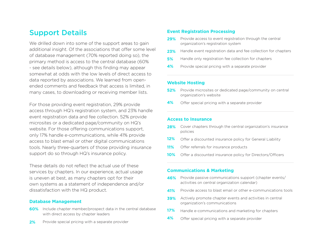### Support Details

We drilled down into some of the support areas to gain additional insight. Of the associations that offer some level of database management (70% reported doing so), the primary method is access to the central database (60% - see details below), although this finding may appear somewhat at odds with the low levels of direct access to data reported by associations. We learned from openended comments and feedback that access is limited, in many cases, to downloading or receiving member lists.

For those providing event registration, 29% provide access through HQ's registration system, and 23% handle event registration data and fee collection. 52% provide microsites or a dedicated page/community on HQ's website. For those offering communications support, only 17% handle e-communications, while 41% provide access to blast email or other digital communications tools. Nearly three-quarters of those providing insurance support do so through HQ's insurance policy.

These details do not reflect the actual use of these services by chapters. In our experience, actual usage is uneven at best, as many chapters opt for their own systems as a statement of independence and/or dissatisfaction with the HQ product.

#### **Database Management**

- **60%** Include chapter member/prospect data in the central database with direct access by chapter leaders
- Provide special pricing with a separate provider **2%**

#### **Event Registration Processing**

- Provide access to event registration through the central organization's registration system **29%**
- Handle event registration data and fee collection for chapters **23%**
- Handle only registration fee collection for chapters **5%**
- Provide special pricing with a separate provider **4%**

#### **Website Hosting**

- **52%** Provide microsites or dedicated page/community on central organization's website
- Offer special pricing with a separate provider **4%**

#### **Access to Insurance**

- Cover chapters through the central organization's insurance **28%** policies
- Offer a discounted insurance policy for General Liability **12%**
- Offer referrals for insurance products **11%**
- Offer a discounted insurance policy for Directors/Officers **10%**

#### **Communications & Marketing**

- **46%** Provide passive communications support (chapter events/ activities on central organization calendar)
- Provide access to blast email or other e-communications tools **41%**
- Actively promote chapter events and activities in central organization's communications **39%**
- Handle e-communications and marketing for chapters **17%**
- Offer special pricing with a separate provider **4%**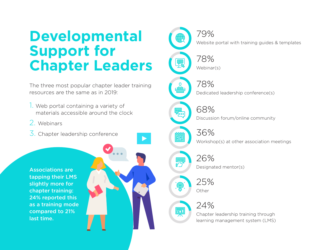# **Developmental Support for Chapter Leaders**

The three most popular chapter leader training resources are the same as in 2019:

- 1. Web portal containing a variety of materials accessible around the clock
- 2. Webinars
- 3. Chapter leadership conference

Associations are tapping their LMS slightly more for chapter training: 24% reported this as a training mode compared to 21% last time.

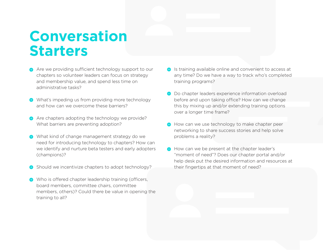# **Conversation Starters**

- Are we providing sufficient technology support to our chapters so volunteer leaders can focus on strategy and membership value, and spend less time on administrative tasks?
- $\bigoplus$  What's impeding us from providing more technology and how can we overcome these barriers?
- $\bigoplus$  Are chapters adopting the technology we provide? What barriers are preventing adoption?
- $\bigoplus$  What kind of change management strategy do we need for introducing technology to chapters? How can we identify and nurture beta testers and early adopters (champions)?
- **↑** Should we incentivize chapters to adopt technology?
- $\bigoplus$  Who is offered chapter leadership training (officers, board members, committee chairs, committee members, others)? Could there be value in opening the training to all?
- $\bigoplus$  Is training available online and convenient to access at any time? Do we have a way to track who's completed training programs?
- $\Theta$  Do chapter leaders experience information overload before and upon taking office? How can we change this by mixing up and/or extending training options over a longer time frame?
- How can we use technology to make chapter peer networking to share success stories and help solve problems a reality?
- How can we be present at the chapter leader's "moment of need"? Does our chapter portal and/or help desk put the desired information and resources at their fingertips at that moment of need?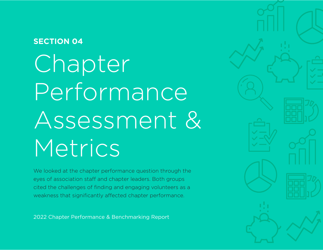## <span id="page-26-0"></span>**SECTION 04**

Chapter Performance Assessment & Metrics

We looked at the chapter performance question through the eyes of association staff and chapter leaders. Both groups cited the challenges of finding and engaging volunteers as a weakness that significantly affected chapter performance.

2022 Chapter Performance & Benchmarking Report

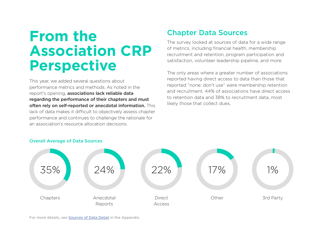# **From the Association CRP Perspective**

This year, we added several questions about performance metrics and methods. As noted in the report's opening, associations lack reliable data regarding the performance of their chapters and must often rely on self-reported or anecdotal information. This lack of data makes it difficult to objectively assess chapter performance and continues to challenge the rationale for an association's resource allocation decisions.

### Chapter Data Sources

The survey looked at sources of data for a wide range of metrics, including financial health, membership recruitment and retention, program participation and satisfaction, volunteer leadership pipeline, and more.

The only areas where a greater number of associations reported having direct access to data than those that reported "none: don't use" were membership retention and recruitment. 44% of associations have direct access to retention data and 38% to recruitment data, most likely those that collect dues.



#### Overall Average of Data Sources

For more details, see [Sources of Data Detail](#page-52-0) in the Appendix.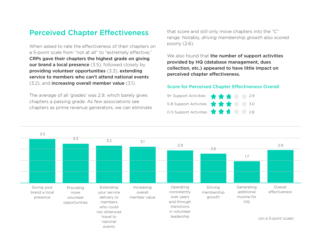### Perceived Chapter Effectiveness

When asked to rate the effectiveness of their chapters on a 5-point scale from "not at all" to "extremely effective," CRPs gave their chapters the highest grade on giving our brand a local presence (3.5), followed closely by providing volunteer opportunities (3.3), extending service to members who can't attend national events (3.2), and increasing overall member value (3.1).

The average of all 'grades' was 2.9, which barely gives chapters a passing grade. As few associations see chapters as prime revenue generators, we can eliminate that score and still only move chapters into the "C" range. Notably, *driving membership growth* also scored poorly (2.6).

We also found that the number of support activities provided by HQ (database management, dues collection, etc.) appeared to have little impact on perceived chapter effectiveness.

#### Score for Perceived Chapter Effectiveness Overall

| 9+ Support Activities $\frac{1}{2}$ $\frac{1}{2}$ $\frac{1}{2}$ 2.9 |
|---------------------------------------------------------------------|
| 5-8 Support Activities <b>to the Second State of S.O</b>            |
| 0-5 Support Activities $\mathbf{X} \times \mathbf{A}$               |

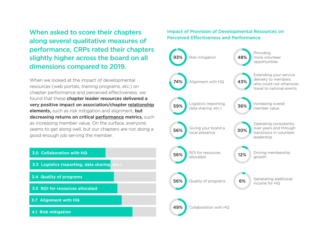When asked to score their chapters along several qualitative measures of performance, CRPs rated their chapters slightly higher across the board on all dimensions compared to 2019.

When we looked at the impact of developmental resources (web portals, training programs, etc.) on chapter performance and perceived effectiveness, we found that these chapter leader resources delivered a very positive impact on association/chapter relationship elements, such as risk mitigation and alignment, but decreasing returns on critical performance metrics, such as increasing member value. On the surface, everyone seems to get along well, but our chapters are not doing a good enough job serving the member.



### Impact of Provision of Developmental Resources on Perceived Effectiveness and Performance

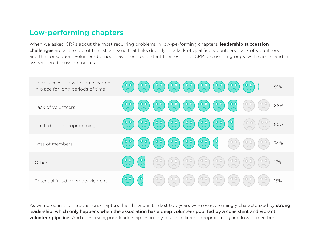### Low-performing chapters

When we asked CRPs about the most recurring problems in low-performing chapters, leadership succession challenges are at the top of the list, an issue that links directly to a lack of qualified volunteers. Lack of volunteers and the consequent volunteer burnout have been persistent themes in our CRP discussion groups, with clients, and in association discussion forums.

| Poor succession with same leaders<br>in place for long periods of time | $\begin{pmatrix} 0 & 0 \\ 0 & 0 \end{pmatrix}$ $\begin{pmatrix} 0 & 0 \\ 0 & 0 \end{pmatrix}$ $\begin{pmatrix} 0 & 0 \\ 0 & 0 \end{pmatrix}$ $\begin{pmatrix} 0 & 0 \\ 0 & 0 \end{pmatrix}$<br>$\frac{1}{2}$<br>91%                                                |
|------------------------------------------------------------------------|--------------------------------------------------------------------------------------------------------------------------------------------------------------------------------------------------------------------------------------------------------------------|
| Lack of volunteers                                                     | (0.0)(0.0)(0.0)(0.0)(0.0)<br>$\begin{pmatrix} 0 & 0 \\ 0 & 0 \end{pmatrix}$<br>$\begin{pmatrix} 0 & 0 \ 0 & 0 \end{pmatrix}$<br>88%                                                                                                                                |
| Limited or no programming                                              | $(0.0)$ $(0.0)$ $(0.0)$ $(0.0)$ $(0.0)$ $(0.0)$<br>$\begin{pmatrix} 0 & 0 \ 0 & 0 \end{pmatrix}$<br>$\begin{pmatrix} 0 & 0 \\ 0 & 0 \end{pmatrix}$<br>85%                                                                                                          |
| Loss of members                                                        | (0.0)(0.0)(0.0)(0.0)<br>$\begin{pmatrix} 0 & 0 \\ 0 & 0 \end{pmatrix}$<br>$\begin{pmatrix} 0 & 0 \\ 0 & 0 \end{pmatrix}$<br>$\begin{pmatrix} 0 & 0 \ 0 & 0 \end{pmatrix}$<br>$\begin{pmatrix} 0 & 0 \\ 0 & 0 \end{pmatrix}$<br>74%                                 |
| Other                                                                  | $\frac{1}{2}$<br>(0.0)(0.0)(0.0)<br>$\left(\begin{matrix} 0 & 0 \\ 0 & 0 \end{matrix}\right)$<br>$\begin{pmatrix} 0 & 0 \\ 0 & 0 \end{pmatrix}$<br>(00)<br>$\begin{pmatrix} 0 & 0 \\ 0 & 0 \end{pmatrix}$<br>$\begin{pmatrix} 0 & 0 \\ 0 & 0 \end{pmatrix}$<br>17% |
| Potential fraud or embezzlement                                        | $\begin{pmatrix} 0 & 0 \\ 0 & 0 \end{pmatrix}$<br>0 <sup>o</sup><br>$\begin{bmatrix} 0 & 0 \\ 0 & 0 \end{bmatrix}$<br>$\begin{pmatrix} 0 & 0 \\ 0 & 0 \end{pmatrix}$<br>$\begin{pmatrix} 0 & 0 \\ 0 & 0 \end{pmatrix}$<br>15%                                      |

As we noted in the introduction, chapters that thrived in the last two years were overwhelmingly characterized by strong leadership, which only happens when the association has a deep volunteer pool fed by a consistent and vibrant volunteer pipeline. And conversely, poor leadership invariably results in limited programming and loss of members.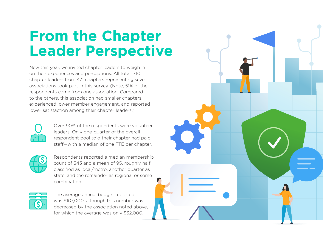# **From the Chapter Leader Perspective**

New this year, we invited chapter leaders to weigh in on their experiences and perceptions. All total, 710 chapter leaders from 471 chapters representing seven associations took part in this survey. (Note, 51% of the respondents came from one association. Compared to the others, this association had smaller chapters, experienced lower member engagement, and reported lower satisfaction among their chapter leaders.)



Over 90% of the respondents were volunteer leaders. Only one-quarter of the overall respondent pool said their chapter had paid staff—with a median of one FTE per chapter.



Respondents reported a median membership count of 343 and a mean of 95, roughly half classified as local/metro, another quarter as state, and the remainder as regional or some combination.



The average annual budget reported was \$107,000, although this number was decreased by the association noted above, for which the average was only \$32,000.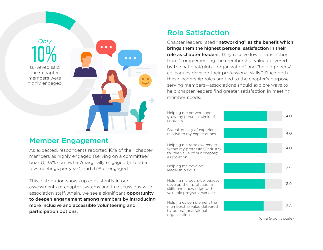**10%**  $\bullet$   $\bullet$   $\bullet$  $\bullet$   $\bullet$   $\bullet$ surveyed said their chapter members were highly engaged

### Member Engagement

As expected, respondents reported 10% of their chapter members as highly engaged (serving on a committee/ board), 33% somewhat/marginally engaged (attend a few meetings per year), and 47% unengaged.

This distribution shows up consistently in our assessments of chapter systems and in discussions with association staff. Again, we see a significant **opportunity** to deepen engagement among members by introducing more inclusive and accessible volunteering and participation options.

### Role Satisfaction

Chapter leaders rated "networking" as the benefit which brings them the highest personal satisfaction in their role as chapter leaders. They receive lower satisfaction from "complementing the membership value delivered by the national/global organization" and "helping peers/ colleagues develop their professional skills." Since both these leadership roles are tied to the chapter's purpose serving members—associations should explore ways to help chapter leaders find greater satisfaction in meeting member needs.



(on a 5-point scale)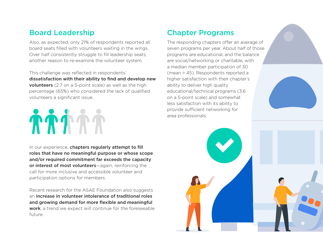### Board Leadership

Also, as expected, only 21% of respondents reported all board seats filled with volunteers waiting in the wings. Over half consistently struggle to fill leadership seats, another reason to re-examine the volunteer system.

This challenge was reflected in respondents' dissatisfaction with their ability to find and develop new **volunteers** (2.7 on a 5-point scale) as well as the high percentage (65%) who considered the lack of qualified volunteers a significant issue.

# **TTTTT**

In our experience, chapters regularly attempt to fill roles that have no meaningful purpose or whose scope and/or required commitment far exceeds the capacity or interest of most volunteers—again, reinforcing the call for more inclusive and accessible volunteer and participation options for members.

Recent research for the ASAE Foundation also suggests an increase in volunteer intolerance of traditional roles and growing demand for more flexible and meaningful work, a trend we expect will continue for the foreseeable future.

## Chapter Programs

The responding chapters offer an average of seven programs per year. About half of those programs are educational, and the balance are social/networking or charitable, with a median member participation of 30 (mean = 45). Respondents reported a higher satisfaction with their chapter's ability to deliver high quality educational/technical programs (3.6 on a 5-point scale) and somewhat less satisfaction with its ability to provide sufficient networking for area professionals.

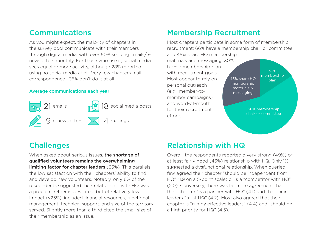### Communications

As you might expect, the majority of chapters in the survey pool communicate with their members through digital media, with over 50% sending emails/enewsletters monthly. For those who use it, social media sees equal or more activity, although 28% reported using no social media at all. Very few chapters mail correspondence—35% don't do it at all.

#### Average communications each year



## Membership Recruitment

Most chapters participate in some form of membership recruitment: 66% have a membership chair or committee and 45% share HQ membership

materials and messaging. 30% have a membership plan with recruitment goals. Most appear to rely on personal outreach (e.g., member-tomember campaigns) and word-of-mouth for their recruitment efforts.

45% share HQ membership materials & messaging 30% membership plan

> 66% membership chair or committee

### **Challenges**

When asked about serious issues, the shortage of qualified volunteers remains the overwhelming limiting factor for chapter leaders (65%). This parallels the low satisfaction with their chapters' ability to find and develop new volunteers. Notably, only 6% of the respondents suggested their relationship with HQ was a problem. Other issues cited, but of relatively low impact (<25%), included financial resources, functional management, technical support, and size of the territory served. Slightly more than a third cited the small size of their membership as an issue.

### Relationship with HQ

Overall, the respondents reported a very strong (49%) or at least fairly good (43%) relationship with HQ. Only 1% suggested a dysfunctional relationship. When queried, few agreed their chapter "should be independent from HQ" (1.9 on a 5-point scale) or is a "competitor with HQ" (2.0). Conversely, there was far more agreement that their chapter "is a partner with HQ" (4.1) and that their leaders "trust HQ" (4.2). Most also agreed that their chapter is "run by effective leaders" (4.4) and "should be a high priority for HQ" (4.5).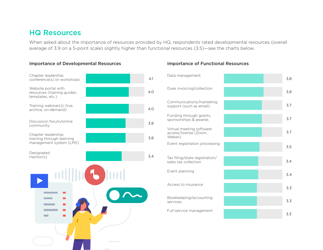### HQ Resources

When asked about the importance of resources provided by HQ, respondents rated developmental resources (overall average of 3.9 on a 5-point scale) slightly higher than functional resources (3.5)—see the charts below.

#### Importance of Developmental Resources Importance of Functional Resources



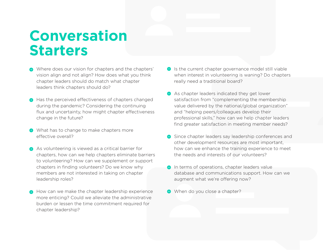# **Conversation Starters**

- Where does our vision for chapters and the chapters' vision align and not align? How does what you think chapter leaders should do match what chapter leaders think chapters should do?
- $\bigoplus$  Has the perceived effectiveness of chapters changed during the pandemic? Considering the continuing flux and uncertainty, how might chapter effectiveness change in the future?
- What has to change to make chapters more effective overall?
- As volunteering is viewed as a critical barrier for chapters, how can we help chapters eliminate barriers to volunteering? How can we supplement or support chapters in finding volunteers? Do we know why members are not interested in taking on chapter leadership roles?
- How can we make the chapter leadership experience more enticing? Could we alleviate the administrative burden or lessen the time commitment required for chapter leadership?
- $\bullet$  Is the current chapter governance model still viable when interest in volunteering is waning? Do chapters really need a traditional board?
- As chapter leaders indicated they get lower satisfaction from "complementing the membership value delivered by the national/global organization" and "helping peers/colleagues develop their professional skills," how can we help chapter leaders find greater satisfaction in meeting member needs?
- $\bigoplus$  Since chapter leaders say leadership conferences and other development resources are most important, how can we enhance the training experience to meet the needs and interests of our volunteers?
- **In terms of operations, chapter leaders value** database and communications support. How can we augment what we're offering now?
- When do you close a chapter?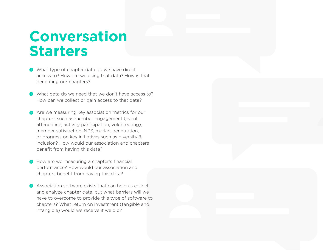# **Conversation Starters**

- What type of chapter data do we have direct access to? How are we using that data? How is that benefiting our chapters?
- What data do we need that we don't have access to? How can we collect or gain access to that data?
- Are we measuring key association metrics for our chapters such as member engagement (event attendance, activity participation, volunteering), member satisfaction, NPS, market penetration, or progress on key initiatives such as diversity & inclusion? How would our association and chapters benefit from having this data?
- $\bigoplus$  How are we measuring a chapter's financial performance? How would our association and chapters benefit from having this data?
- **Association software exists that can help us collect** and analyze chapter data, but what barriers will we have to overcome to provide this type of software to chapters? What return on investment (tangible and intangible) would we receive if we did?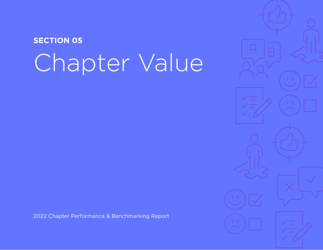# <span id="page-38-0"></span>Chapter Value **SECTION 05**

2022 Chapter Performance & Benchmarking Report

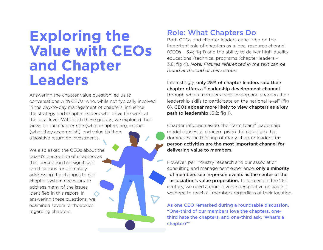# **Exploring the Value with CEOs and Chapter Leaders**

Answering the chapter value question led us to conversations with CEOs, who, while not typically involved in the day-to-day management of chapters, influence the strategy and chapter leaders who drive the work at the local level. With both these groups, we explored their views on the chapter role (what chapters do), impact (what they accomplish), and value (is there a positive return on investment).

We also asked the CEOs about the board's perception of chapters as that perception has significant ramifications for ultimately addressing the changes to our chapter system necessary to address many of the issues identified in this report. In answering these questions, we examined several orthodoxies regarding chapters.

### Role: What Chapters Do

Both CEOs and chapter leaders concurred on the important role of chapters as a local resource channel (CEOs – 3.4; fig 1) and the ability to deliver high-quality educational/technical programs (chapter leaders – 3.6; fig 4). *Note: Figures referenced in the text can be found at the end of this section.*

Interestingly, only 25% of chapter leaders said their chapter offers a "leadership development channel through which members can develop and sharpen their leadership skills to participate on the national level" (fig 6). CEOs appear more likely to view chapters as a key path to leadership (3.2; fig 1).

Chapter influence aside, the "farm team" leadership model causes us concern given the paradigm that dominates the thinking of many chapter leaders: inperson activities are the most important channel for delivering value to members.

However, per industry research and our association consulting and management experience, only a minority of members see in-person events as the center of the association's value proposition. To succeed in the 21st century, we need a more diverse perspective on value if we hope to reach all members regardless of their location.

As one CEO remarked during a roundtable discussion, "One-third of our members love the chapters, onethird hate the chapters, and one-third ask, 'What's a chapter?'"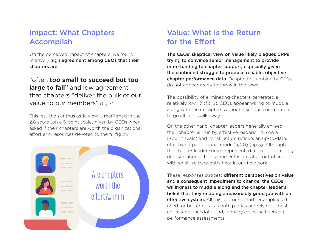## Impact: What Chapters Accomplish

On the perceived impact of chapters, we found relatively high agreement among CEOs that their chapters are:

### "often **too small to succeed but too large to fail**" and low agreement that chapters "deliver the bulk of our value to our members" (fig 3).

This less than enthusiastic view is reaffirmed in the 2.8 score (on a 5-point scale) given by CEOs when asked if their chapters are worth the organizational effort and resources devoted to them (fig 2).



### Value: What is the Return for the Effort

The CEOs' skeptical view on value likely plagues CRPs trying to convince senior management to provide more funding to chapter support, especially given the continued struggle to produce reliable, objective chapter performance data. Despite this ambiguity, CEOs do not appear ready to throw in the towel.

The possibility of eliminating chapters generated a relatively low 1.7 (fig 2). CEOs appear willing to muddle along with their chapters without a serious commitment to go all in or walk away.

On the other hand, chapter leaders generally agreed their chapter is "run by effective leaders" (4.5 on a 5-point scale) and its "structure reflects an up-to-date, effective organizational model" (4.0) (fig 5). Although the chapter leader survey represented a smaller sampling of associations, their sentiment is not at all out of line with what we frequently hear in our fieldwork.

These responses suggest different perspectives on value and a consequent impediment to change: the CEOs willingness to muddle along and the chapter leader's belief that they're doing a reasonably good job with an effective system. All this, of course, further amplifies the need for better data, as both parties are relying almost entirely on anecdotal and, in many cases, self-serving performance assessments.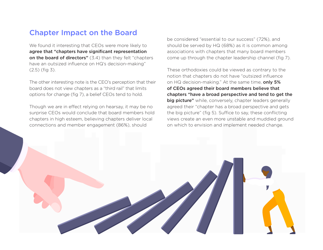### Chapter Impact on the Board

We found it interesting that CEOs were more likely to agree that "chapters have significant representation on the board of directors" (3.4) than they felt "chapters" have an outsized influence on HQ's decision-making" (2.5) (fig 3).

The other interesting note is the CEO's perception that their board does not view chapters as a "third rail" that limits options for change (fig 7), a belief CEOs tend to hold.

Though we are in effect relying on hearsay, it may be no surprise CEOs would conclude that board members hold chapters in high esteem, believing chapters deliver local connections and member engagement (86%), should

be considered "essential to our success" (72%), and should be served by HQ (68%) as it is common among associations with chapters that many board members come up through the chapter leadership channel (fig 7).

These orthodoxies could be viewed as contrary to the notion that chapters do not have "outsized influence on HQ decision-making." At the same time, only 5% of CEOs agreed their board members believe that chapters "have a broad perspective and tend to get the big picture" while, conversely, chapter leaders generally agreed their "chapter has a broad perspective and gets the big picture" (fig 5). Suffice to say, these conflicting views create an even more unstable and muddied ground on which to envision and implement needed change.

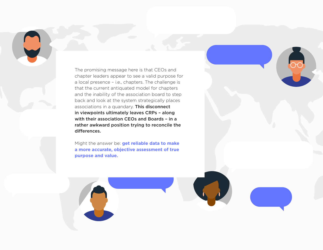The promising message here is that CEOs and chapter leaders appear to see a valid purpose for a local presence – i.e., chapters. The challenge is that the current antiquated model for chapters and the inability of the association board to step back and look at the system strategically places associations in a quandary. This disconnect in viewpoints ultimately leaves CRPs – along with their association CEOs and Boards – in a rather awkward position trying to reconcile the differences.

00

Might the answer be: **get reliable data to make a more accurate, objective assessment of true purpose and value.**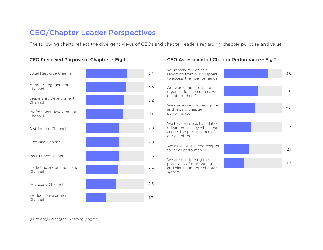### CEO/Chapter Leader Perspectives

The following charts reflect the divergent views of CEOs and chapter leaders regarding chapter purpose and value.



### CEO Perceived Purpose of Chapters - Fig 1 CEO Assessment of Chapter Performance - Fig 2

| 3.4        | We mostly rely on self-<br>reporting from our chapters<br>to access their performance                  |  | 3.8 |
|------------|--------------------------------------------------------------------------------------------------------|--|-----|
| 3.3<br>3.2 | Are worth the effort and<br>organizational resources we<br>devote to them?                             |  | 2.8 |
| 3.1        | We use scoring to recognize<br>and reward chapter<br>performance                                       |  | 2.6 |
| 2.8        | We have an objective, data-<br>driven process by which we<br>access the performance of<br>our chapters |  | 2.3 |
| 2.8        | We close or suspend chapters<br>for poor performance                                                   |  | 2.1 |
| 2.8        | We are considering the<br>possibility of dismantling                                                   |  | 1.7 |
| 2.7        | and eliminating our chapter<br>system                                                                  |  |     |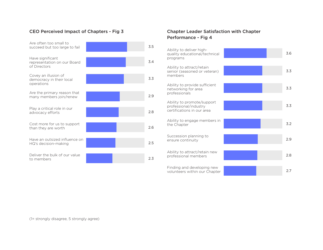#### CEO Perceived Impact of Chapters - Fig 3 Chapter Leader Satisfaction with Chapter

| Are often too small to<br>succeed but too large to fail         |  | 3.5 |
|-----------------------------------------------------------------|--|-----|
| Have significant<br>representation on our Board<br>of Directors |  | 3.4 |
| Covey an illusion of<br>democracy in their local<br>operations  |  | 3.3 |
| Are the primary reason that<br>many members join/renew          |  | 2.9 |
| Play a critical role in our<br>advocacy efforts                 |  | 2.8 |
| Cost more for us to support<br>than they are worth              |  | 2.6 |
| Have an outsized influence on<br>HQ's decision-making           |  | 2.5 |
| Deliver the bulk of our value<br>to members                     |  | 2.3 |

# Performance - Fig 4

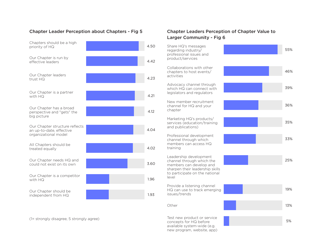#### Chapter Leader Perception about Chapters - Fig 5 Chapter Leaders Perception of Chapter Value to



# Larger Community - Fig 6

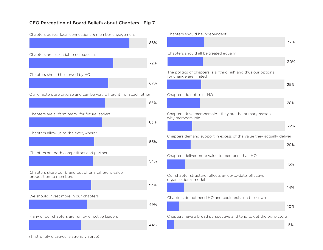#### CEO Perception of Board Beliefs about Chapters - Fig 7



Chapters deliver local connections & member engagement

#### Chapters should be independent

|                                                                                           | 32% |
|-------------------------------------------------------------------------------------------|-----|
| Chapters should all be treated equally                                                    |     |
|                                                                                           | 30% |
| The politics of chapters is a "third rail" and thus our options<br>for change are limited |     |
|                                                                                           | 29% |
| Chapters do not trust HQ                                                                  |     |
|                                                                                           | 28% |
| Chapters drive membership - they are the primary reason<br>why members join               |     |
|                                                                                           | 22% |
| Chapters demand support in excess of the value they actually deliver                      |     |
|                                                                                           | 20% |
| Chapters deliver more value to members than HQ                                            |     |
|                                                                                           | 15% |
| Our chapter structure reflects an up-to-date, effective<br>organizational model           |     |
|                                                                                           | 14% |
| Chapters do not need HQ and could exist on their own                                      |     |
|                                                                                           | 10% |
| Chapters have a broad perspective and tend to get the big picture                         |     |

5%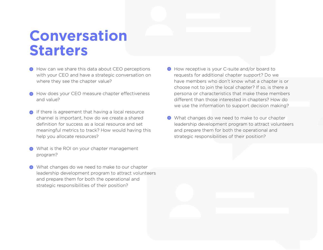# **Conversation Starters**

- How can we share this data about CEO perceptions with your CEO and have a strategic conversation on where they see the chapter value?
- How does your CEO measure chapter effectiveness and value?
- **If there is agreement that having a local resource** channel is important, how do we create a shared definition for success as a local resource and set meaningful metrics to track? How would having this help you allocate resources?
- What is the ROI on your chapter management program?
- What changes do we need to make to our chapter leadership development program to attract volunteers and prepare them for both the operational and strategic responsibilities of their position?
- How receptive is your C-suite and/or board to requests for additional chapter support? Do we have members who don't know what a chapter is or choose not to join the local chapter? If so, is there a persona or characteristics that make these members different than those interested in chapters? How do we use the information to support decision making?
- What changes do we need to make to our chapter leadership development program to attract volunteers and prepare them for both the operational and strategic responsibilities of their position?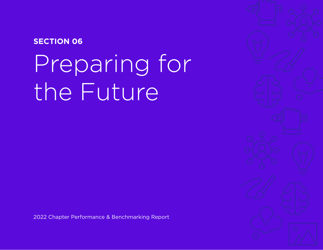## <span id="page-48-0"></span>**SECTION 06**

# Preparing for the Future

2022 Chapter Performance & Benchmarking Report

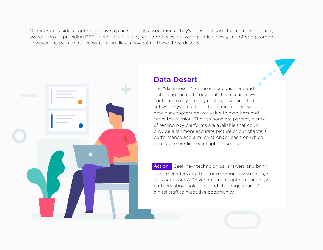Conundrums aside, chapters do have a place in many associations. They've been an oasis for members in many associations — providing PPE, securing legislative/regulatory wins, delivering critical news, and offering comfort. However, the path to a successful future lies in navigating these three deserts.



### Data Desert

The "data desert" represents a consistent and disturbing theme throughout this research. We continue to rely on fragmented, disconnected software systems that offer a fractured view of how our chapters deliver value to members and serve the mission. Though none are perfect, plenty of technology platforms are available that could provide a far more accurate picture of our chapters' performance and a much stronger basis on which to allocate our limited chapter resources.

Action: Seek new technological answers and bring chapter leaders into the conversation to assure buyin. Talk to your AMS vendor and chapter technology partners about solutions, and challenge your IT/ digital staff to meet this opportunity.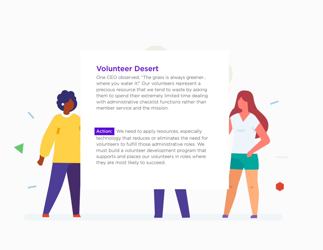### Volunteer Desert

One CEO observed, "The grass is always greener… where you water it!" Our volunteers represent a precious resource that we tend to waste by asking them to spend their extremely limited time dealing with administrative checklist functions rather than member service and the mission.

Action: We need to apply resources, especially technology that reduces or eliminates the need for volunteers to fulfill those administrative roles. We must build a volunteer development program that supports and places our volunteers in roles where they are most likely to succeed.



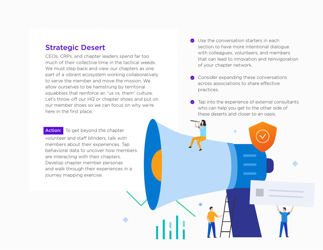### Strategic Desert

CEOs, CRPs, and chapter leaders spend far too much of their collective time in the tactical weeds. We must step back and view our chapters as one part of a vibrant ecosystem working collaboratively to serve the member and move the mission. We allow ourselves to be hamstrung by territorial squabbles that reinforce an "us vs. them" culture. Let's throw off our HQ or chapter shoes and put on our member shoes so we can focus on why we're here in the first place.

- **◆** Use the conversation starters in each section to have more intentional dialogue with colleagues, volunteers, and members that can lead to innovation and reinvigoration of your chapter network.
- ◆ Consider expanding these conversations across associations to share effective practices.
- Tap into the experience of external consultants  $\bullet$ who can help you get to the other side of these deserts and closer to an oasis.

**Contract Contract** 

Action: To get beyond the chapter volunteer and staff blinders, talk with members about their experiences. Tap behavioral data to uncover how members are interacting with their chapters. Develop chapter member personas

and walk through their experiences in a

journey mapping exercise.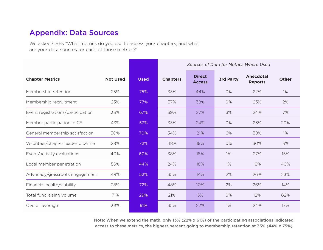### <span id="page-52-0"></span>Appendix: Data Sources

We asked CRPs "What metrics do you use to access your chapters, and what are your data sources for each of those metrics?"

|                                   |                 |             | Sources of Data for Metrics Where Used |                                |                  |                             |              |
|-----------------------------------|-----------------|-------------|----------------------------------------|--------------------------------|------------------|-----------------------------|--------------|
| <b>Chapter Metrics</b>            | <b>Not Used</b> | <b>Used</b> | <b>Chapters</b>                        | <b>Direct</b><br><b>Access</b> | <b>3rd Party</b> | Anecdotal<br><b>Reports</b> | <b>Other</b> |
| Membership retention              | 25%             | 75%         | 33%                                    | 44%                            | 0%               | 22%                         | $1\%$        |
| Membership recruitment            | 23%             | 77%         | 37%                                    | 38%                            | 0%               | 23%                         | 2%           |
| Event registrations/participation | 33%             | 67%         | 39%                                    | 27%                            | 3%               | 24%                         | 7%           |
| Member participation in CE        | 43%             | 57%         | 33%                                    | 24%                            | 0%               | 23%                         | 20%          |
| General membership satisfaction   | 30%             | 70%         | 34%                                    | 21%                            | 6%               | 38%                         | $1\%$        |
| Volunteer/chapter leader pipeline | 28%             | 72%         | 48%                                    | 19%                            | 0%               | 30%                         | 3%           |
| Event/activity evaluations        | 40%             | 60%         | 38%                                    | 18%                            | 1%               | 27%                         | 15%          |
| Local member penetration          | 56%             | 44%         | 24%                                    | 18%                            | 1%               | 18%                         | 40%          |
| Advocacy/grassroots engagement    | 48%             | 52%         | 35%                                    | 14%                            | 2%               | 26%                         | 23%          |
| Financial health/viability        | 28%             | 72%         | 48%                                    | 10%                            | 2%               | 26%                         | 14%          |
| Total fundraising volume          | 71%             | 29%         | 21%                                    | 5%                             | 0%               | 12%                         | 62%          |
| Overall average                   | 39%             | 61%         | 35%                                    | 22%                            | 1%               | 24%                         | 17%          |

Note: When we extend the math, only 13% (22% x 61%) of the participating associations indicated access to these metrics, the highest percent going to membership retention at 33% (44% x 75%).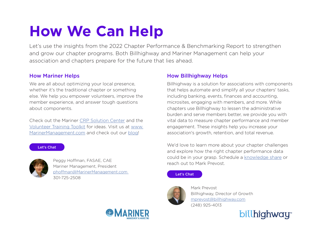# **How We Can Help**

Let's use the insights from the 2022 Chapter Performance & Benchmarking Report to strengthen and grow our chapter programs. Both Billhighway and Mariner Management can help your association and chapters prepare for the future that lies ahead.

### How Mariner Helps

We are all about optimizing your local presence, whether it's the traditional chapter or something else. We help you empower volunteers, improve the member experience, and answer tough questions about components.

Check out the Mariner [CRP Solution Center](https://marinermanagement.com/crp-solution-center/) and the [Volunteer Training Toolkit](https://marinermanagement.com/resource/white-paper/2021-06-30/creating-association-roi-through-volunteer-training-toolkit/) for ideas. Visit us at [www.](http://www.MarinerManagement.com) [MarinerManagement.com](http://www.MarinerManagement.com) and check out our [blog](http://www.marinermanagement.com/resources?keys=&tid%5b%5d=1&sort_by=field_date_norepeat_value&sort_order=DESC)!

#### [Let's Chat](mailto:phoffman%40marinermanagement.com?subject=2022%20Chapter%20Performance%20%26%20Benchmarking%20Report)



Peggy Hoffman, FASAE, CAE Mariner Management, President [phoffman@MarinerManagement.com](mailto:phoffman%40MarinerManagement.com?subject=)  301-725-2508

### How Billhighway Helps

Billhighway is a solution for associations with components that helps automate and simplify all your chapters' tasks, including banking, events, finances and accounting, microsites, engaging with members, and more. While chapters use Billhighway to lessen the administrative burden and serve members better, we provide you with vital data to measure chapter performance and member engagement. These insights help you increase your association's growth, retention, and total revenue.

We'd love to learn more about your chapter challenges and explore how the right chapter performance data could be in your grasp. Schedule a [knowledge share](http://bit.ly/crpdemo) or reach out to Mark Prevost.

#### [Let's Chat](mailto:mprevost%40billhighway.com?subject=2022%20Chapter%20Performance%20%26%20Benchmarking%20Report)



Mark Prevost Billhighway, Director of Growth [mprevost@billhighway.com](mailto:mprevost%40billhighway.com?subject=) (248) 925-4013